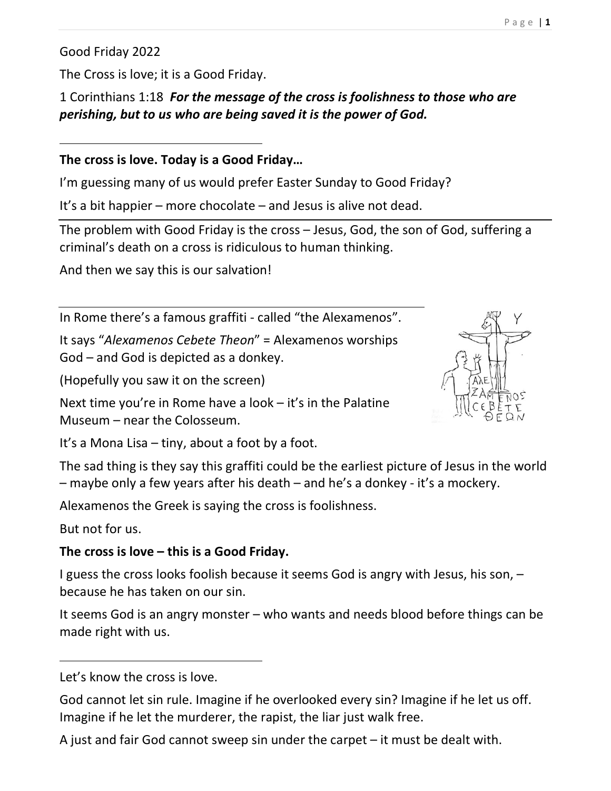Good Friday 2022

 $\overline{a}$ 

The Cross is love; it is a Good Friday.

1 Corinthians 1:18 For the message of the cross is foolishness to those who are perishing, but to us who are being saved it is the power of God.

#### The cross is love. Today is a Good Friday…

I'm guessing many of us would prefer Easter Sunday to Good Friday?

It's a bit happier – more chocolate – and Jesus is alive not dead.

The problem with Good Friday is the cross – Jesus, God, the son of God, suffering a criminal's death on a cross is ridiculous to human thinking.

And then we say this is our salvation!

In Rome there's a famous graffiti - called "the Alexamenos".

It says "Alexamenos Cebete Theon" = Alexamenos worships God – and God is depicted as a donkey.

(Hopefully you saw it on the screen)

Next time you're in Rome have a look – it's in the Palatine Museum – near the Colosseum.

It's a Mona Lisa – tiny, about a foot by a foot.

The sad thing is they say this graffiti could be the earliest picture of Jesus in the world – maybe only a few years after his death – and he's a donkey - it's a mockery.

Alexamenos the Greek is saying the cross is foolishness.

But not for us.

 $\overline{a}$ 

# The cross is love – this is a Good Friday.

I guess the cross looks foolish because it seems God is angry with Jesus, his son, – because he has taken on our sin.

It seems God is an angry monster – who wants and needs blood before things can be made right with us.

Let's know the cross is love.

God cannot let sin rule. Imagine if he overlooked every sin? Imagine if he let us off. Imagine if he let the murderer, the rapist, the liar just walk free.

A just and fair God cannot sweep sin under the carpet – it must be dealt with.

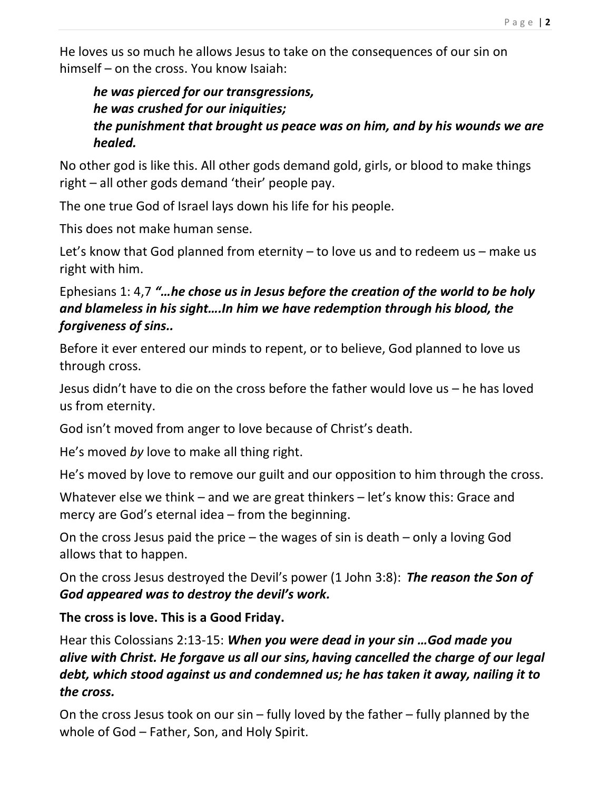He loves us so much he allows Jesus to take on the consequences of our sin on himself – on the cross. You know Isaiah:

#### he was pierced for our transgressions, he was crushed for our iniquities; the punishment that brought us peace was on him, and by his wounds we are healed.

No other god is like this. All other gods demand gold, girls, or blood to make things right – all other gods demand 'their' people pay.

The one true God of Israel lays down his life for his people.

This does not make human sense.

Let's know that God planned from eternity – to love us and to redeem us – make us right with him.

### Ephesians 1: 4,7 "…he chose us in Jesus before the creation of the world to be holy and blameless in his sight….In him we have redemption through his blood, the forgiveness of sins..

Before it ever entered our minds to repent, or to believe, God planned to love us through cross.

Jesus didn't have to die on the cross before the father would love us – he has loved us from eternity.

God isn't moved from anger to love because of Christ's death.

He's moved by love to make all thing right.

He's moved by love to remove our guilt and our opposition to him through the cross.

Whatever else we think – and we are great thinkers – let's know this: Grace and mercy are God's eternal idea – from the beginning.

On the cross Jesus paid the price – the wages of sin is death – only a loving God allows that to happen.

On the cross Jesus destroyed the Devil's power (1 John 3:8): The reason the Son of God appeared was to destroy the devil's work.

# The cross is love. This is a Good Friday.

Hear this Colossians 2:13-15: When you were dead in your sin ... God made you alive with Christ. He forgave us all our sins, having cancelled the charge of our legal debt, which stood against us and condemned us; he has taken it away, nailing it to the cross.

On the cross Jesus took on our sin – fully loved by the father – fully planned by the whole of God – Father, Son, and Holy Spirit.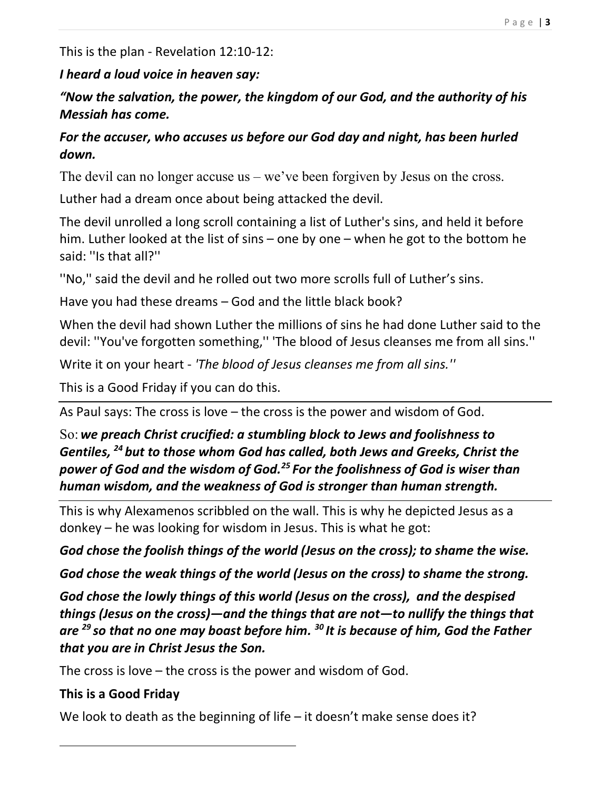This is the plan - Revelation 12:10-12:

#### I heard a loud voice in heaven say:

"Now the salvation, the power, the kingdom of our God, and the authority of his Messiah has come.

#### For the accuser, who accuses us before our God day and night, has been hurled down.

The devil can no longer accuse us – we've been forgiven by Jesus on the cross.

Luther had a dream once about being attacked the devil.

The devil unrolled a long scroll containing a list of Luther's sins, and held it before him. Luther looked at the list of sins – one by one – when he got to the bottom he said: ''Is that all?''

''No,'' said the devil and he rolled out two more scrolls full of Luther's sins.

Have you had these dreams – God and the little black book?

When the devil had shown Luther the millions of sins he had done Luther said to the devil: ''You've forgotten something,'' 'The blood of Jesus cleanses me from all sins.''

Write it on your heart - 'The blood of Jesus cleanses me from all sins.''

This is a Good Friday if you can do this.

As Paul says: The cross is love – the cross is the power and wisdom of God.

So: we preach Christ crucified: a stumbling block to Jews and foolishness to Gentiles,  $^{24}$  but to those whom God has called, both Jews and Greeks, Christ the power of God and the wisdom of God.<sup>25</sup> For the foolishness of God is wiser than human wisdom, and the weakness of God is stronger than human strength.

This is why Alexamenos scribbled on the wall. This is why he depicted Jesus as a donkey – he was looking for wisdom in Jesus. This is what he got:

God chose the foolish things of the world (Jesus on the cross); to shame the wise.

God chose the weak things of the world (Jesus on the cross) to shame the strong.

God chose the lowly things of this world (Jesus on the cross), and the despised things (Jesus on the cross)—and the things that are not—to nullify the things that are  $^{29}$  so that no one may boast before him.  $^{30}$  It is because of him, God the Father that you are in Christ Jesus the Son.

The cross is love – the cross is the power and wisdom of God.

# This is a Good Friday

We look to death as the beginning of life – it doesn't make sense does it?